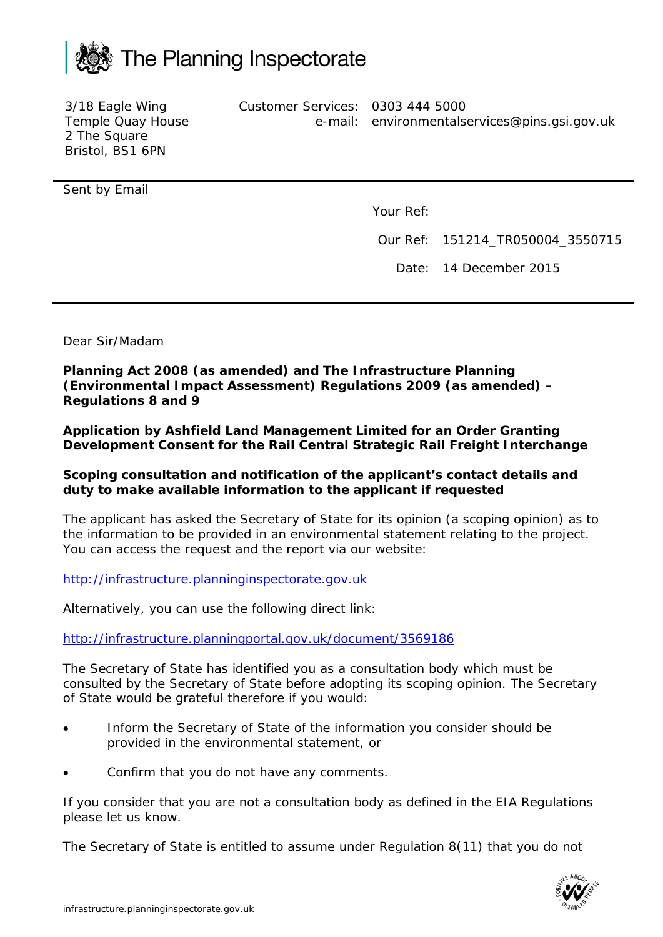

3/18 Eagle Wing Temple Quay House 2 The Square Bristol, BS1 6PN Customer Services: 0303 444 5000 e-mail: environmentalservices@pins.gsi.gov.uk

Sent by Email

Your Ref:

Our Ref: 151214\_TR050004\_3550715

Date: 14 December 2015

Dear Sir/Madam

**Planning Act 2008 (as amended) and The Infrastructure Planning (Environmental Impact Assessment) Regulations 2009 (as amended) – Regulations 8 and 9**

**Application by Ashfield Land Management Limited for an Order Granting Development Consent for the Rail Central Strategic Rail Freight Interchange**

## **Scoping consultation and notification of the applicant's contact details and duty to make available information to the applicant if requested**

The applicant has asked the Secretary of State for its opinion (a scoping opinion) as to the information to be provided in an environmental statement relating to the project. You can access the request and the report via our website:

[http://infrastructure.planninginspectorate.gov.uk](http://infrastructure.planninginspectorate.gov.uk/)

Alternatively, you can use the following direct link:

<http://infrastructure.planningportal.gov.uk/document/3569186>

The Secretary of State has identified you as a consultation body which must be consulted by the Secretary of State before adopting its scoping opinion. The Secretary of State would be grateful therefore if you would:

- Inform the Secretary of State of the information you consider should be provided in the environmental statement, or
- Confirm that you do not have any comments.

If you consider that you are not a consultation body as defined in the EIA Regulations please let us know.

The Secretary of State is entitled to assume under Regulation 8(11) that you do not